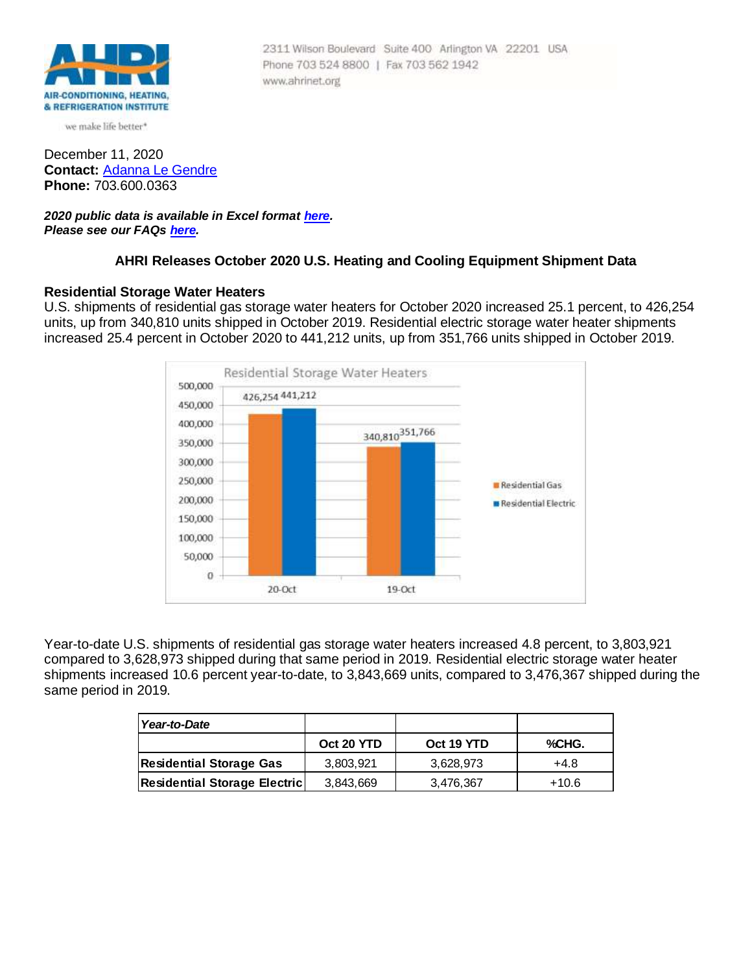

we make life better\*

December 11, 2020 **Contact:** [Adanna Le Gendre](mailto:AleGendre@ahrinet.org) **Phone:** 703.600.0363

*2020 public data is available in Excel format [here.](http://www.ahrinet.org/App_Content/ahri/files/Statistics/Monthly%20Shipments/2020/October_2020.xls) Please see our FAQs [here.](#page-3-0)*

# **AHRI Releases October 2020 U.S. Heating and Cooling Equipment Shipment Data**

Phone 703 524 8800 | Fax 703 562 1942

www.ahrinet.org

2311 Wilson Boulevard Suite 400 Arlington VA 22201 USA

## **Residential Storage Water Heaters**

U.S. shipments of residential gas storage water heaters for October 2020 increased 25.1 percent, to 426,254 units, up from 340,810 units shipped in October 2019. Residential electric storage water heater shipments increased 25.4 percent in October 2020 to 441,212 units, up from 351,766 units shipped in October 2019.



Year-to-date U.S. shipments of residential gas storage water heaters increased 4.8 percent, to 3,803,921 compared to 3,628,973 shipped during that same period in 2019. Residential electric storage water heater shipments increased 10.6 percent year-to-date, to 3,843,669 units, compared to 3,476,367 shipped during the same period in 2019.

| Year-to-Date                        |            |            |         |
|-------------------------------------|------------|------------|---------|
|                                     | Oct 20 YTD | Oct 19 YTD | %CHG.   |
| <b>Residential Storage Gas</b>      | 3,803,921  | 3.628.973  | $+4.8$  |
| <b>Residential Storage Electric</b> | 3,843,669  | 3,476,367  | $+10.6$ |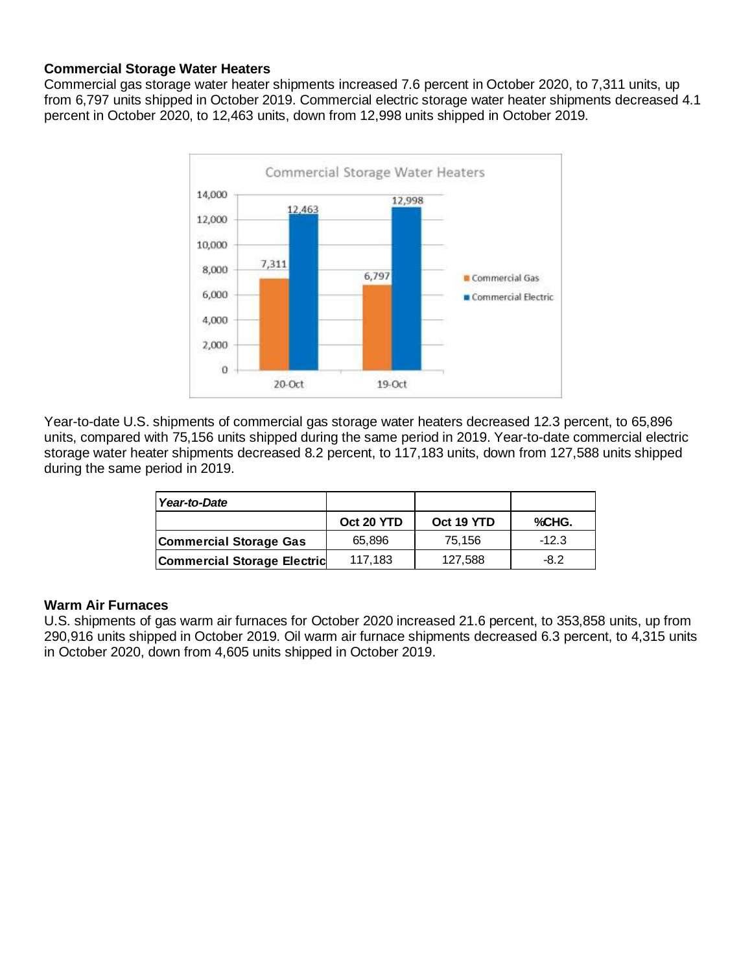# **Commercial Storage Water Heaters**

Commercial gas storage water heater shipments increased 7.6 percent in October 2020, to 7,311 units, up from 6,797 units shipped in October 2019. Commercial electric storage water heater shipments decreased 4.1 percent in October 2020, to 12,463 units, down from 12,998 units shipped in October 2019.



Year-to-date U.S. shipments of commercial gas storage water heaters decreased 12.3 percent, to 65,896 units, compared with 75,156 units shipped during the same period in 2019. Year-to-date commercial electric storage water heater shipments decreased 8.2 percent, to 117,183 units, down from 127,588 units shipped during the same period in 2019.

| Year-to-Date                       |            |            |         |
|------------------------------------|------------|------------|---------|
|                                    | Oct 20 YTD | Oct 19 YTD | %CHG.   |
| Commercial Storage Gas             | 65,896     | 75,156     | $-12.3$ |
| <b>Commercial Storage Electric</b> | 117,183    | 127,588    | $-8.2$  |

## **Warm Air Furnaces**

U.S. shipments of gas warm air furnaces for October 2020 increased 21.6 percent, to 353,858 units, up from 290,916 units shipped in October 2019. Oil warm air furnace shipments decreased 6.3 percent, to 4,315 units in October 2020, down from 4,605 units shipped in October 2019.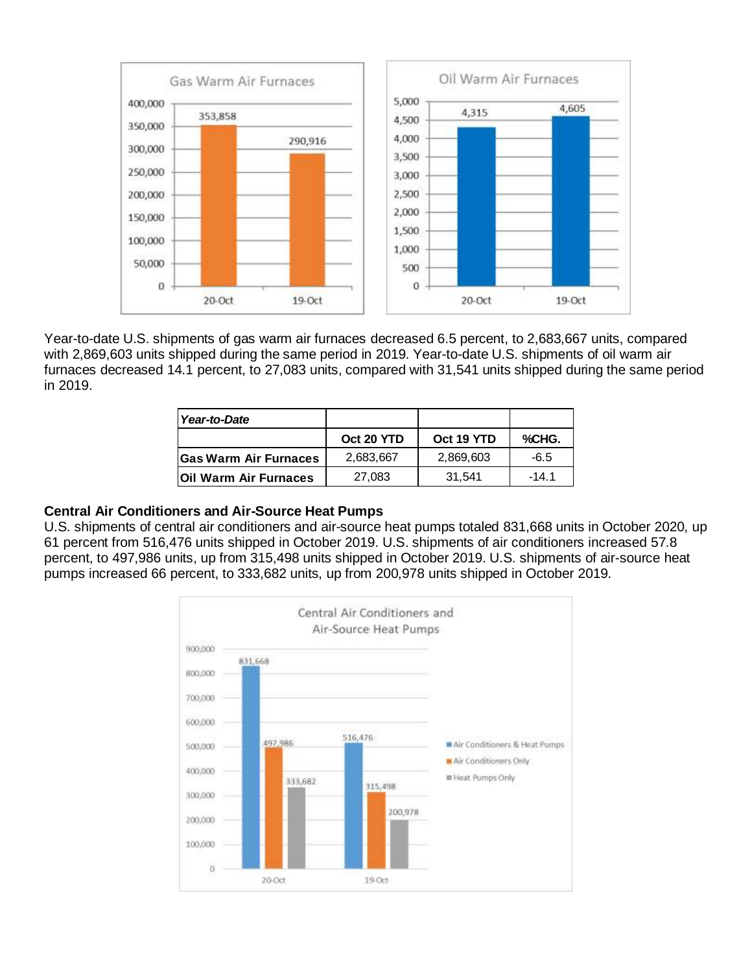

Year-to-date U.S. shipments of gas warm air furnaces decreased 6.5 percent, to 2,683,667 units, compared with 2,869,603 units shipped during the same period in 2019. Year-to-date U.S. shipments of oil warm air furnaces decreased 14.1 percent, to 27,083 units, compared with 31,541 units shipped during the same period in 2019.

| Year-to-Date                 |            |            |         |
|------------------------------|------------|------------|---------|
|                              | Oct 20 YTD | Oct 19 YTD | %CHG.   |
| <b>Gas Warm Air Furnaces</b> | 2,683,667  | 2,869,603  | -6.5    |
| Oil Warm Air Furnaces        | 27.083     | 31.541     | $-14.1$ |

## **Central Air Conditioners and Air-Source Heat Pumps**

U.S. shipments of central air conditioners and air-source heat pumps totaled 831,668 units in October 2020, up 61 percent from 516,476 units shipped in October 2019. U.S. shipments of air conditioners increased 57.8 percent, to 497,986 units, up from 315,498 units shipped in October 2019. U.S. shipments of air-source heat pumps increased 66 percent, to 333,682 units, up from 200,978 units shipped in October 2019.

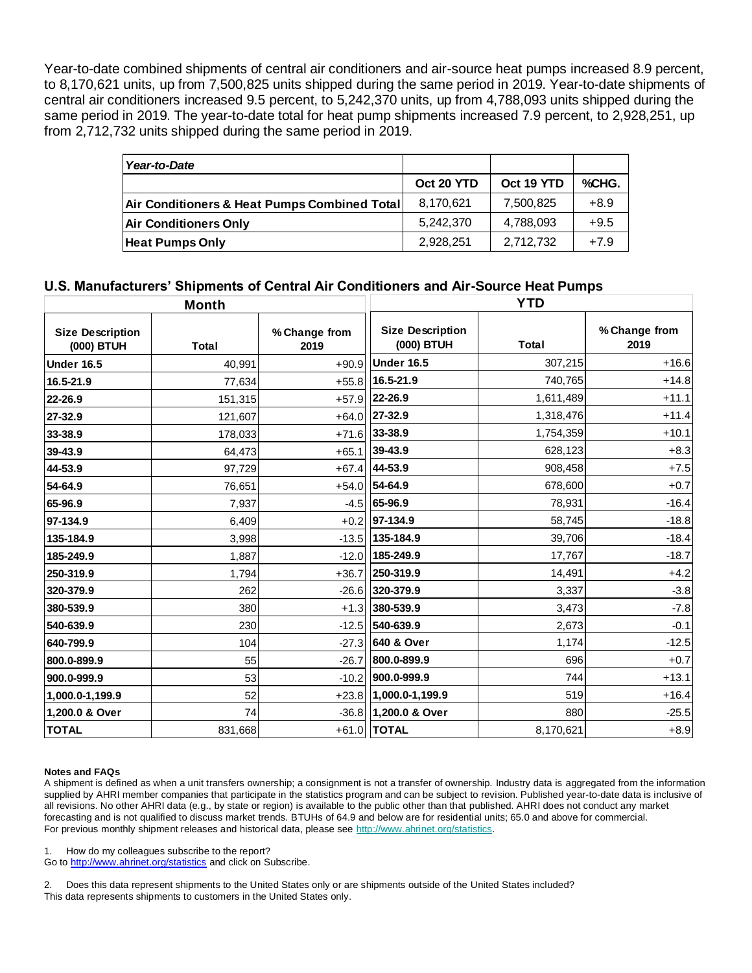Year-to-date combined shipments of central air conditioners and air-source heat pumps increased 8.9 percent, to 8,170,621 units, up from 7,500,825 units shipped during the same period in 2019. Year-to-date shipments of central air conditioners increased 9.5 percent, to 5,242,370 units, up from 4,788,093 units shipped during the same period in 2019. The year-to-date total for heat pump shipments increased 7.9 percent, to 2,928,251, up from 2,712,732 units shipped during the same period in 2019.

| Year-to-Date                                 |            |            |        |
|----------------------------------------------|------------|------------|--------|
|                                              | Oct 20 YTD | Oct 19 YTD | %CHG.  |
| Air Conditioners & Heat Pumps Combined Total | 8,170,621  | 7,500,825  | $+8.9$ |
| <b>Air Conditioners Only</b>                 | 5.242.370  | 4,788,093  | $+9.5$ |
| <b>Heat Pumps Only</b>                       | 2,928,251  | 2,712,732  | $+7.9$ |

# **U.S. Manufacturers' Shipments of Central Air Conditioners and Air-Source Heat Pumps**

#### <span id="page-3-0"></span>**Notes and FAQs**